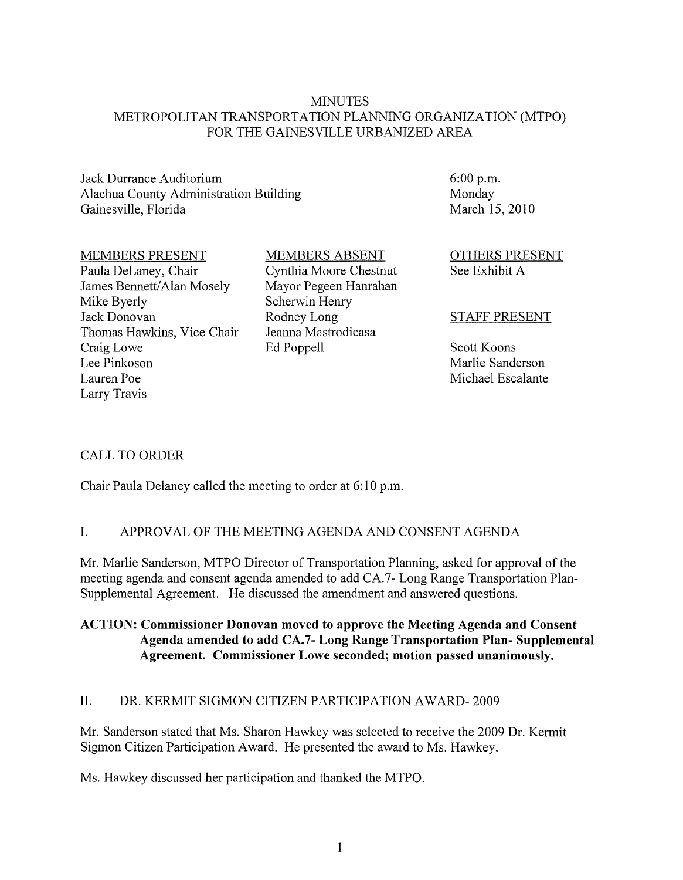#### **MINUTES** METROPOLITAN TRANSPORTATION PLANNING ORGANIZATION (MTPO) FOR THE GAINESVILLE URBANIZED AREA

Jack Durrance Auditorium Alachua County Administration Building Gainesville, Florida

#### MEMBERS PRESENT

Paula DeLaney, Chair James Bennett/Alan Mosely Mike Byerly Jack Donovan Thomas Hawkins, Vice Chair Craig Lowe Lee Pinkoson Lauren Poe Larry Travis

MEMBERS ABSENT

Cynthia Moore Chestnut Mayor Pegeen Hanrahan Scherwin Henry Rodney Long Jeanna Mastrodicasa Ed Poppell

6:00 p.m. Monday March 15,2010

OTHERS PRESENT See Exhibit A

## STAFF PRESENT

Scott Koons Marlie Sanderson Michael Escalante

## CALL TO ORDER

Chair Paula Delaney called the meeting to order at 6:10 p.m.

## 1. APPROVAL OF THE MEETING AGENDA AND CONSENT AGENDA

Mr. Marlie Sanderson, MTPO Director of Transportation Planning, asked for approval of the meeting agenda and consent agenda amended to add CA. 7 - Long Range Transportation Plan-Supplemental Agreement. He discussed the amendment and answered questions.

## ACTION: Commissioner Donovan moved to approve the Meeting Agenda and Consent Agenda amended to add CA.7- Long Range Transportation Plan- Supplemental Agreement. Commissioner Lowe seconded; motion passed unanimously.

## II. DR. KERMIT SIGMON CITIZEN PARTICIPATION AWARD- 2009

Mr. Sanderson stated that Ms. Sharon Hawkey was selected to receive the 2009 Dr. Kermit Sigmon Citizen Participation Award. He presented the award to Ms. Hawkey.

Ms. Hawkey discussed her participation and thanked the MTPO.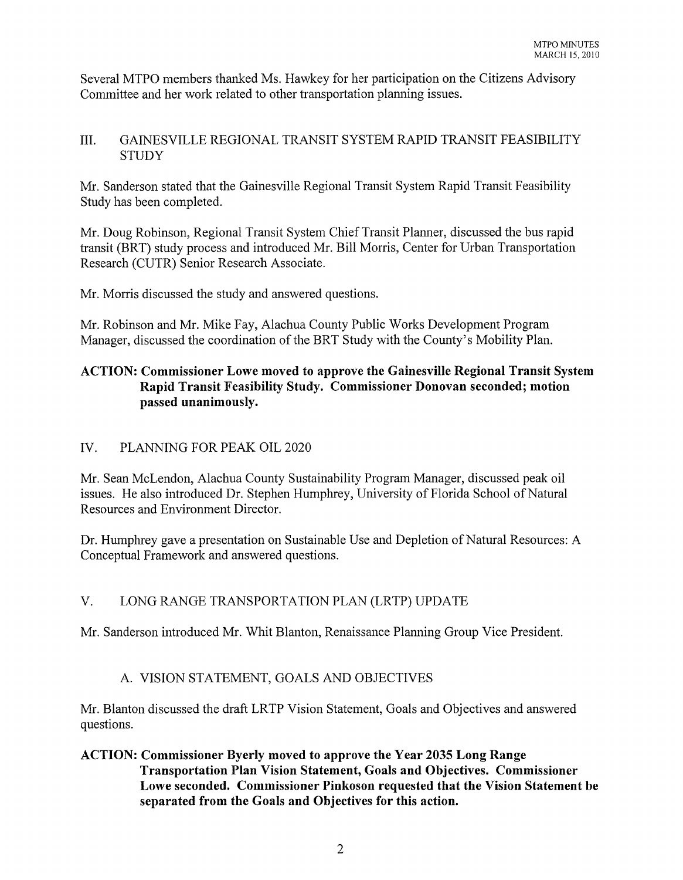Several MTPO members thanked Ms. Hawkey for her participation on the Citizens Advisory Committee and her work related to other transportation planning issues.

## III. GAINESVILLE REGIONAL TRANSIT SYSTEM RAPID TRANSIT FEASIBILITY **STUDY**

Mr. Sanderson stated that the Gainesville Regional Transit System Rapid Transit Feasibility Study has been completed.

Mr. Doug Robinson, Regional Transit System Chief Transit Planner, discussed the bus rapid transit (BRT) study process and introduced Mr. Bill Morris, Center for Urban Transportation Research (CUTR) Senior Research Associate.

Mr. Morris discussed the study and answered questions.

Mr. Robinson and Mr. Mike Fay, Alachua County Public Works Development Program Manager, discussed the coordination of the BRT Study with the County's Mobility Plan.

## ACTION: Commissioner Lowe moved to approve the Gainesville Regional Transit System Rapid Transit Feasibility Study. Commissioner Donovan seconded; motion passed unanimously.

## IV. PLANNING FOR PEAK OIL 2020

Mr. Sean McLendon, Alachua County Sustainability Program Manager, discussed peak oil issues. He also introduced Dr. Stephen Humphrey, University of Florida School of Natural Resources and Environment Director.

Dr. Humphrey gave a presentation on Sustainable Use and Depletion of Natural Resources: A Conceptual Framework and answered questions.

# V. LONG RANGE TRANSPORTATION PLAN (LRTP) UPDATE

Mr. Sanderson introduced Mr. Whit Blanton, Renaissance Planning Group Vice President.

# A. VISION STATEMENT, GOALS AND OBJECTIVES

Mr. Blanton discussed the draft LRTP Vision Statement, Goals and Objectives and answered questions.

ACTION: Commissioner Byerly moved to approve the Year 2035 Long Range Transportation Plan Vision Statement, Goals and Objectives. Commissioner Lowe seconded. Commissioner Pinkoson requested that the Vision Statement be separated from the Goals and Objectives for this action.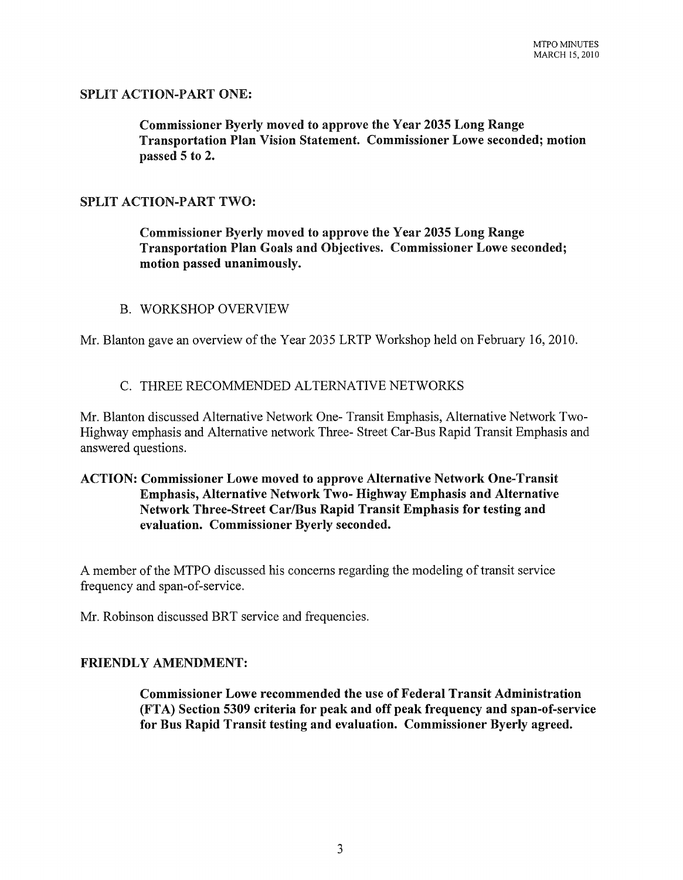## SPLIT ACTION-PART ONE:

Commissioner Byerly moved to approve the Year 2035 Long Range Transportation Plan Vision Statement. Commissioner Lowe seconded; motion passed 5 to 2.

## SPLIT ACTION-PART TWO:

Commissioner Byerly moved to approve the Year 2035 Long Range Transportation Plan Goals and Objectives. Commissioner Lowe seconded; motion passed unanimously.

#### B. WORKSHOP OVERVIEW

Mr. Blanton gave an overview of the Year 2035 LRTP Workshop held on February 16,2010.

## C. THREE RECOMMENDED ALTERNATIVE NETWORKS

Mr. Blanton discussed Alternative Network One- Transit Emphasis, Alternative Network Two-Highway emphasis and Alternative network Three- Street Car-Bus Rapid Transit Emphasis and answered questions.

## ACTION: Commissioner Lowe moved to approve Alternative Network One-Transit Emphasis, Alternative Network Two- Highway Emphasis and Alternative Network Three-Street CarlBus Rapid Transit Emphasis for testing and evaluation. Commissioner Byerly seconded.

A member of the MTPO discussed his concerns regarding the modeling of transit service frequency and span-of-service.

Mr. Robinson discussed BRT service and frequencies.

#### FRIENDLY AMENDMENT:

Commissioner Lowe recommended the use of Federal Transit Administration (FTA) Section 5309 criteria for peak and off peak frequency and span-of-service for Bus Rapid Transit testing and evaluation. Commissioner Byerly agreed.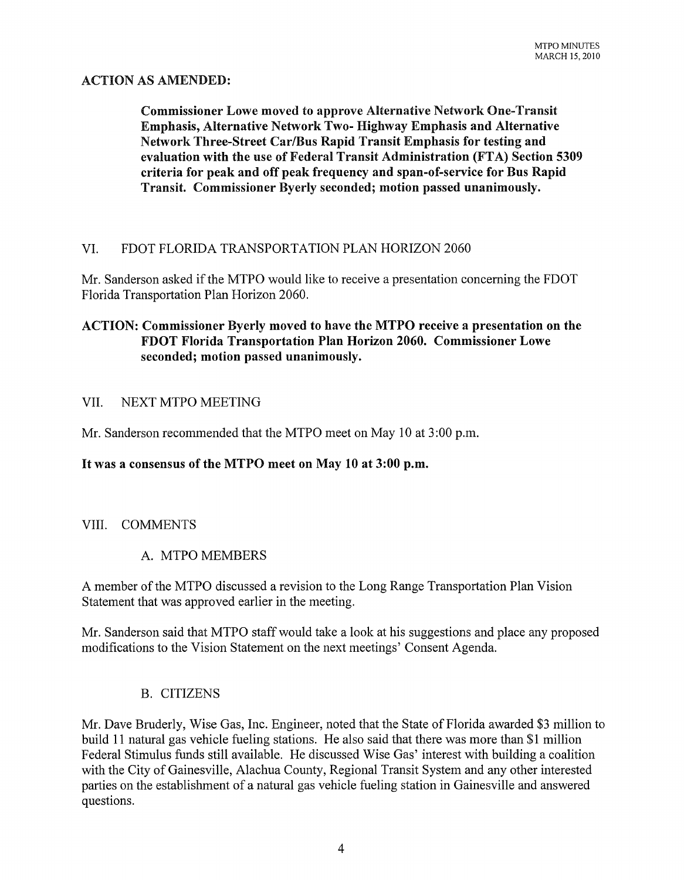## ACTION AS AMENDED:

Commissioner Lowe moved to approve Alternative Network One-Transit Emphasis, Alternative Network Two- Highway Emphasis and Alternative Network Three-Street CarlBus Rapid Transit Emphasis for testing and evaluation with the use of Federal Transit Administration (FTA) Section 5309 criteria for peak and off peak frequency and span-of-service for Bus Rapid Transit. Commissioner Byerly seconded; motion passed unanimously.

## VI. FDOT FLORIDA TRANSPORTATION PLAN HORIZON 2060

Mr. Sanderson asked if the MTPO would like to receive a presentation concerning the FDOT Florida Transportation Plan Horizon 2060.

## ACTION: Commissioner Byerly moved to have the MTPO receive a presentation on the FDOT Florida Transportation Plan Horizon 2060. Commissioner Lowe seconded; motion passed unanimously.

#### VII. NEXT MTPO MEETING

Mr. Sanderson recommended that the MTPO meet on May 10 at 3 :00 p.m.

#### It was a consensus of the MTPO meet on May 10 at 3:00 p.m.

#### VIII. COMMENTS

#### A. MTPO MEMBERS

A member of the MTPO discussed a revision to the Long Range Transportation Plan Vision Statement that was approved earlier in the meeting.

Mr. Sanderson said that MTPO staff would take a look at his suggestions and place any proposed modifications to the Vision Statement on the next meetings' Consent Agenda.

#### B. CITIZENS

Mr. Dave Bruderly, Wise Gas, Inc. Engineer, noted that the State of Florida awarded \$3 million to build 11 natural gas vehicle fueling stations. He also said that there was more than \$1 million Federal Stimulus funds still available. He discussed Wise Gas' interest with building a coalition with the City of Gainesville, Alachua County, Regional Transit System and any other interested parties on the establishment of a natural gas vehicle fueling station in Gainesville and answered questions.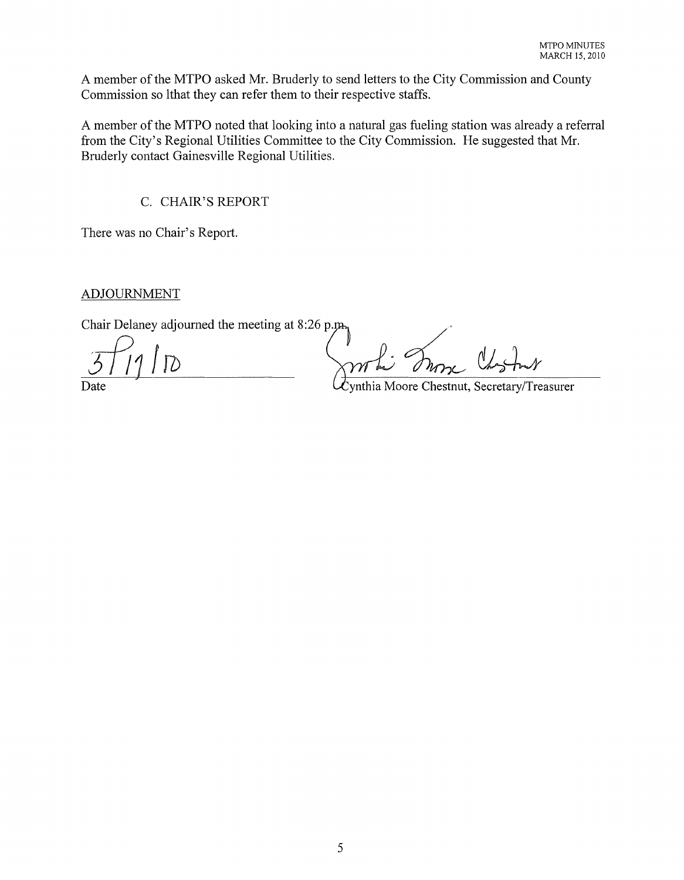A member of the MTPO asked Mr. Bruderly to send letters to the City Commission and County Commission so lthat they can refer them to their respective staffs.

A member of the MTPO noted that looking into a natural gas fueling station was already a referral from the City's Regional Utilities Committee to the City Commission. He suggested that Mr. Bruderly contact Gainesville Regional Utilities.

C. CHAIR'S REPORT

There was no Chair's Report.

ADJOURNMENT

Chair Delaney adjourned the meeting at 8:26 p.

S/11 D<br>Date Cynthia Moore Chestnut, Secretary/Treasurer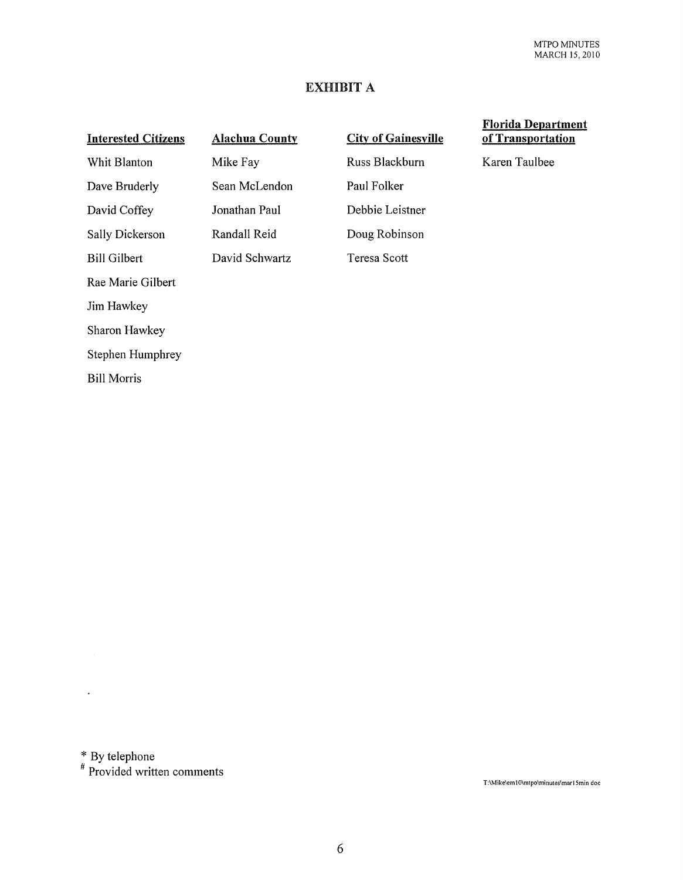## EXHIBIT A

| <b>Interested Citizens</b> | <b>Alachua County</b> | <b>City of Gainesville</b> |
|----------------------------|-----------------------|----------------------------|
| Whit Blanton               | Mike Fay              | Russ Blackburn             |
| Dave Bruderly              | Sean McLendon         | Paul Folker                |
| David Coffey               | Jonathan Paul         | Debbie Leistner            |
| Sally Dickerson            | Randall Reid          | Doug Robinson              |
| <b>Bill Gilbert</b>        | David Schwartz        | Teresa Scott               |
| Rae Marie Gilbert          |                       |                            |
| Jim Hawkey                 |                       |                            |
| Sharon Hawkey              |                       |                            |
| Stephen Humphrey           |                       |                            |
| <b>Bill Morris</b>         |                       |                            |
|                            |                       |                            |

#### Florida Department of Transportation

Karen Taulbee

 $*$  By telephone

 $\hat{\mathbf{r}}$ 

# Provided written comments

T:IMikelem IOlmtpolminuteslmarlSmin doc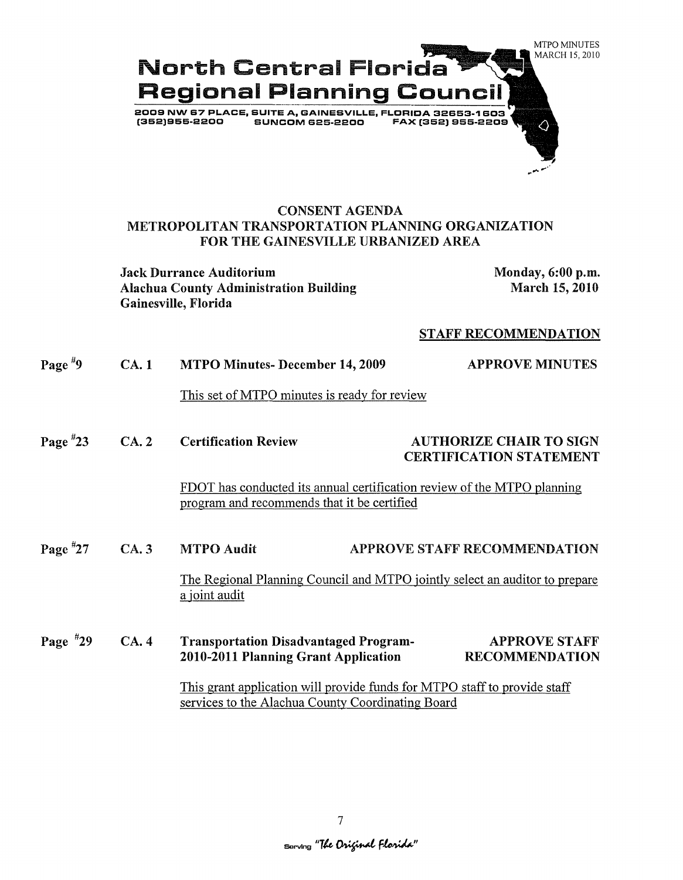

## CONSENT AGENDA METROPOLITAN TRANSPORTATION PLANNING ORGANIZATION FOR THE GAINESVILLE URBANIZED AREA

Jack Durrance Auditorium Monday, 6:00 p.m. Alachua County Administration Building Gainesville, Florida

March 15, 2010

#### STAFF RECOMMENDATION

| Page $*9$  | CA.1 | <b>MTPO Minutes- December 14, 2009</b>                                                                                         | <b>APPROVE MINUTES</b>                                           |
|------------|------|--------------------------------------------------------------------------------------------------------------------------------|------------------------------------------------------------------|
|            |      | This set of MTPO minutes is ready for review                                                                                   |                                                                  |
| Page $*23$ | CA.2 | <b>Certification Review</b>                                                                                                    | <b>AUTHORIZE CHAIR TO SIGN</b><br><b>CERTIFICATION STATEMENT</b> |
|            |      | FDOT has conducted its annual certification review of the MTPO planning<br>program and recommends that it be certified         |                                                                  |
| Page $*27$ | CA.3 | <b>MTPO Audit</b>                                                                                                              | APPROVE STAFF RECOMMENDATION                                     |
|            |      | The Regional Planning Council and MTPO jointly select an auditor to prepare<br>a joint audit                                   |                                                                  |
| Page $*29$ | CA.4 | <b>Transportation Disadvantaged Program-</b><br>2010-2011 Planning Grant Application                                           | <b>APPROVE STAFF</b><br><b>RECOMMENDATION</b>                    |
|            |      | This grant application will provide funds for MTPO staff to provide staff<br>services to the Alachua County Coordinating Board |                                                                  |